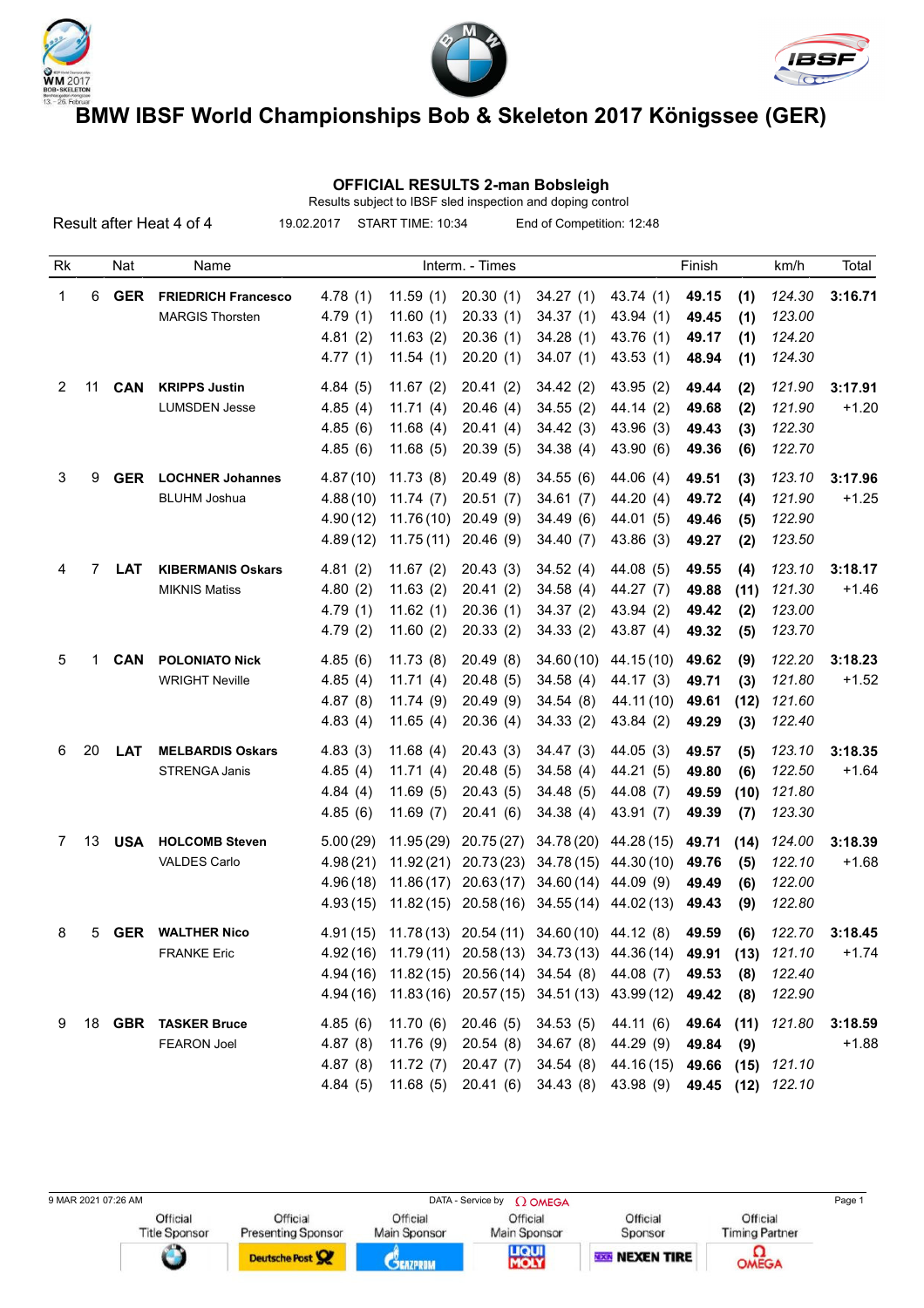





 **OFFICIAL RESULTS 2-man Bobsleigh**

| Results subject to IBSF sled inspection and doping control                               |    |            |                            |          |           |                 |                                                             |                  |        |      |                   |         |
|------------------------------------------------------------------------------------------|----|------------|----------------------------|----------|-----------|-----------------|-------------------------------------------------------------|------------------|--------|------|-------------------|---------|
| 19.02.2017<br>START TIME: 10:34<br>End of Competition: 12:48<br>Result after Heat 4 of 4 |    |            |                            |          |           |                 |                                                             |                  |        |      |                   |         |
| Rk                                                                                       |    | Nat        | Name                       |          |           | Interm. - Times |                                                             |                  | Finish |      | km/h              | Total   |
| 1                                                                                        | 6  | <b>GER</b> | <b>FRIEDRICH Francesco</b> | 4.78(1)  | 11.59(1)  | 20.30(1)        | 34.27(1)                                                    | 43.74 (1)        | 49.15  | (1)  | 124.30            | 3:16.71 |
|                                                                                          |    |            | <b>MARGIS Thorsten</b>     | 4.79(1)  | 11.60(1)  | 20.33(1)        | 34.37(1)                                                    | 43.94 (1)        | 49.45  | (1)  | 123.00            |         |
|                                                                                          |    |            |                            | 4.81(2)  | 11.63(2)  | 20.36(1)        | 34.28(1)                                                    | 43.76 (1)        | 49.17  | (1)  | 124.20            |         |
|                                                                                          |    |            |                            | 4.77(1)  | 11.54(1)  | 20.20(1)        | 34.07(1)                                                    | 43.53(1)         | 48.94  | (1)  | 124.30            |         |
| 2                                                                                        | 11 | <b>CAN</b> | <b>KRIPPS Justin</b>       | 4.84(5)  | 11.67(2)  | 20.41(2)        | 34.42(2)                                                    | 43.95 (2)        | 49.44  | (2)  | 121.90            | 3:17.91 |
|                                                                                          |    |            | <b>LUMSDEN Jesse</b>       | 4.85(4)  | 11.71(4)  | 20.46(4)        | 34.55(2)                                                    | 44.14 (2)        | 49.68  | (2)  | 121.90            | $+1.20$ |
|                                                                                          |    |            |                            | 4.85(6)  | 11.68(4)  | 20.41(4)        | 34.42(3)                                                    | 43.96 (3)        | 49.43  | (3)  | 122.30            |         |
|                                                                                          |    |            |                            | 4.85(6)  | 11.68(5)  | 20.39(5)        | 34.38(4)                                                    | 43.90 (6)        | 49.36  | (6)  | 122.70            |         |
| 3                                                                                        | 9  | <b>GER</b> | <b>LOCHNER Johannes</b>    | 4.87(10) | 11.73(8)  | 20.49(8)        | 34.55(6)                                                    | 44.06(4)         | 49.51  | (3)  | 123.10            | 3:17.96 |
|                                                                                          |    |            | <b>BLUHM Joshua</b>        | 4.88(10) | 11.74(7)  | 20.51(7)        | 34.61(7)                                                    | 44.20 (4)        | 49.72  | (4)  | 121.90            | $+1.25$ |
|                                                                                          |    |            |                            | 4.90(12) | 11.76(10) | 20.49(9)        | 34.49(6)                                                    | 44.01 (5)        | 49.46  | (5)  | 122.90            |         |
|                                                                                          |    |            |                            | 4.89(12) | 11.75(11) | 20.46(9)        | 34.40(7)                                                    | 43.86 (3)        | 49.27  | (2)  | 123.50            |         |
| 4                                                                                        | 7  | <b>LAT</b> | <b>KIBERMANIS Oskars</b>   | 4.81(2)  | 11.67(2)  | 20.43(3)        | 34.52(4)                                                    | 44.08 (5)        | 49.55  | (4)  | 123.10            | 3:18.17 |
|                                                                                          |    |            | <b>MIKNIS Matiss</b>       | 4.80(2)  | 11.63(2)  | 20.41(2)        | 34.58(4)                                                    | 44.27 (7)        | 49.88  | (11) | 121.30            | $+1.46$ |
|                                                                                          |    |            |                            | 4.79(1)  | 11.62(1)  | 20.36(1)        | 34.37(2)                                                    | 43.94 (2)        | 49.42  | (2)  | 123.00            |         |
|                                                                                          |    |            |                            | 4.79(2)  | 11.60(2)  | 20.33(2)        | 34.33(2)                                                    | 43.87 (4)        | 49.32  | (5)  | 123.70            |         |
| 5                                                                                        | 1  | <b>CAN</b> | <b>POLONIATO Nick</b>      | 4.85(6)  | 11.73(8)  | 20.49(8)        | 34.60(10)                                                   | 44.15 (10)       | 49.62  | (9)  | 122.20            | 3:18.23 |
|                                                                                          |    |            | <b>WRIGHT Neville</b>      | 4.85(4)  | 11.71(4)  | 20.48(5)        | 34.58(4)                                                    | 44.17 (3)        | 49.71  | (3)  | 121.80            | $+1.52$ |
|                                                                                          |    |            |                            | 4.87(8)  | 11.74(9)  | 20.49(9)        | 34.54(8)                                                    | 44.11 (10)       | 49.61  | (12) | 121.60            |         |
|                                                                                          |    |            |                            | 4.83(4)  | 11.65(4)  | 20.36 (4)       | 34.33(2)                                                    | 43.84 (2)        | 49.29  | (3)  | 122.40            |         |
| 6                                                                                        | 20 | <b>LAT</b> | <b>MELBARDIS Oskars</b>    | 4.83(3)  | 11.68(4)  | 20.43(3)        | 34.47(3)                                                    | 44.05(3)         | 49.57  | (5)  | 123.10            | 3:18.35 |
|                                                                                          |    |            | <b>STRENGA Janis</b>       | 4.85(4)  | 11.71(4)  | 20.48(5)        | 34.58(4)                                                    | 44.21 (5)        | 49.80  | (6)  | 122.50            | $+1.64$ |
|                                                                                          |    |            |                            | 4.84(4)  | 11.69(5)  | 20.43(5)        | 34.48(5)                                                    | 44.08 (7)        | 49.59  | (10) | 121.80            |         |
|                                                                                          |    |            |                            | 4.85(6)  | 11.69(7)  | 20.41(6)        | 34.38(4)                                                    | 43.91 (7)        | 49.39  | (7)  | 123.30            |         |
| 7                                                                                        | 13 | <b>USA</b> | <b>HOLCOMB Steven</b>      | 5.00(29) | 11.95(29) | 20.75(27)       | 34.78 (20)                                                  | 44.28 (15)       | 49.71  | (14) | 124.00            | 3:18.39 |
|                                                                                          |    |            | VALDES Carlo               | 4.98(21) | 11.92(21) | 20.73(23)       | 34.78(15)                                                   | 44.30 (10)       | 49.76  | (5)  | 122.10            | $+1.68$ |
|                                                                                          |    |            |                            | 4.96(18) | 11.86(17) | 20.63(17)       | 34.60(14)                                                   | 44.09 (9)        | 49.49  | (6)  | 122.00            |         |
|                                                                                          |    |            |                            |          |           |                 | 4.93 (15) 11.82 (15) 20.58 (16) 34.55 (14) 44.02 (13) 49.43 |                  |        | (9)  | 122.80            |         |
| 8                                                                                        | 5  |            | <b>GER WALTHER Nico</b>    |          |           |                 | 4.91 (15) 11.78 (13) 20.54 (11) 34.60 (10) 44.12 (8)        |                  | 49.59  | (6)  | 122.70            | 3:18.45 |
|                                                                                          |    |            | <b>FRANKE Eric</b>         |          |           |                 | 4.92(16) 11.79(11) 20.58(13) 34.73(13) 44.36(14)            |                  | 49.91  | (13) | 121.10            | $+1.74$ |
|                                                                                          |    |            |                            |          |           |                 | 4.94 (16) 11.82 (15) 20.56 (14) 34.54 (8) 44.08 (7)         |                  | 49.53  | (8)  | 122.40            |         |
|                                                                                          |    |            |                            |          |           |                 | 4.94 (16) 11.83 (16) 20.57 (15) 34.51 (13) 43.99 (12)       |                  | 49.42  | (8)  | 122.90            |         |
| 9                                                                                        |    |            | 18 GBR TASKER Bruce        | 4.85(6)  | 11.70(6)  | 20.46 (5)       | 34.53 (5)                                                   | 44.11 (6)        | 49.64  | (11) | 121.80            | 3:18.59 |
|                                                                                          |    |            | <b>FEARON Joel</b>         | 4.87(8)  | 11.76(9)  | 20.54(8)        | 34.67 (8) 44.29 (9)                                         |                  | 49.84  | (9)  |                   | $+1.88$ |
|                                                                                          |    |            |                            | 4.87(8)  | 11.72(7)  | 20.47(7)        | 34.54(8)                                                    | 44.16 (15) 49.66 |        | (15) | 121.10            |         |
|                                                                                          |    |            |                            | 4.84(5)  |           |                 | 11.68 (5) 20.41 (6) 34.43 (8) 43.98 (9)                     |                  |        |      | 49.45 (12) 122.10 |         |

9 MAR 2021 07:26 AM DATA - Service by Ω OMEGA Page 1<br>
Official Deficial Official Deficial Deficial Deficial Deficial Deficial Deficial Deficial Deficial Deficial Deficial Deficial Deficial Deficial Depensor Nain Sponsor S Official Official Official Title Sponsor Main Sponsor Main Sponsor **LIQUI**<br>MOLY **OMEGA** Deutsche Post **CEAZPROM RESENTERE**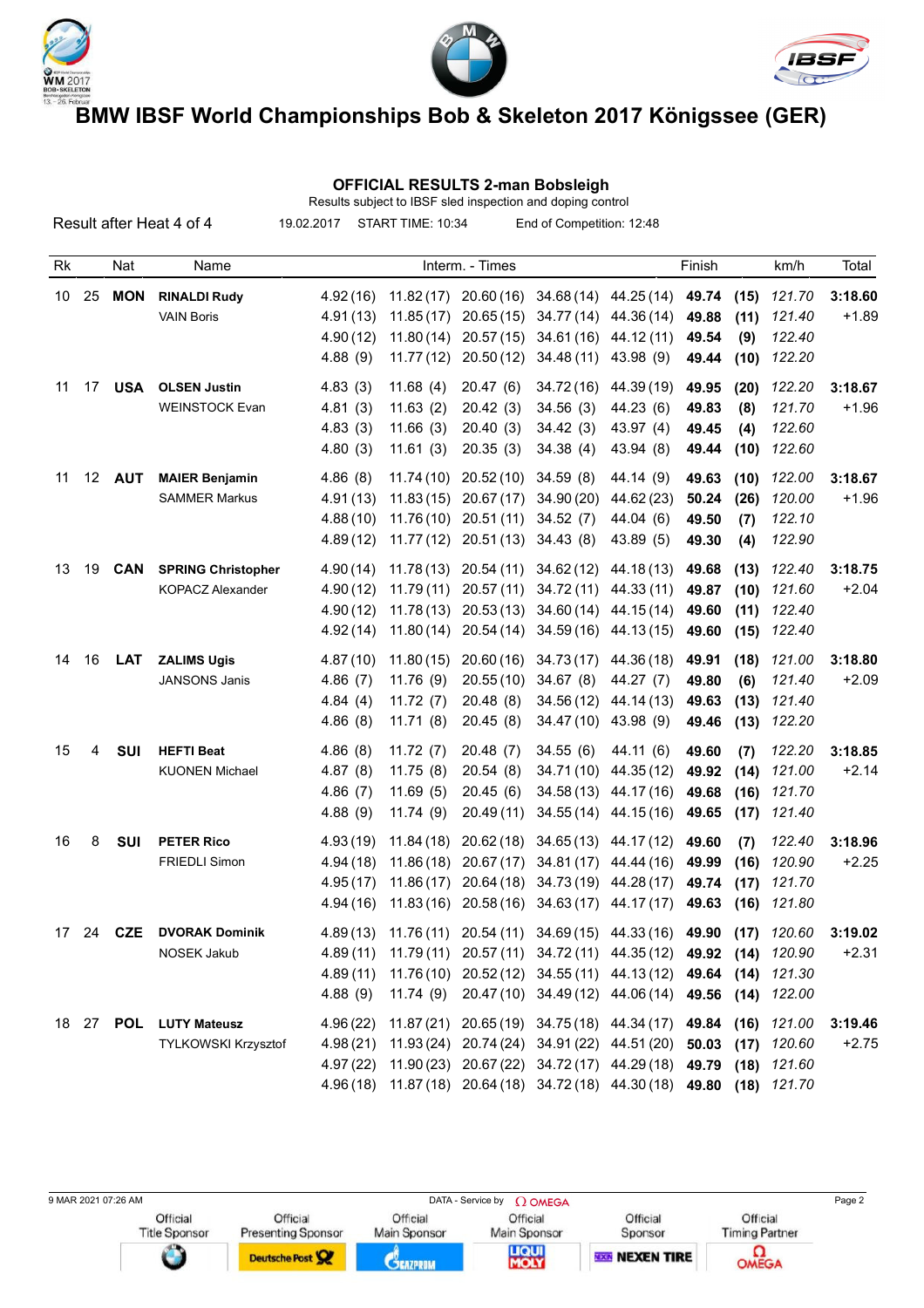





### **OFFICIAL RESULTS 2-man Bobsleigh**

|    |    |                     | Result after Heat 4 of 4                             | 19.02.2017                                   | START TIME: 10:34                                 |                                                                                     | End of Competition: 12:48                                                                                                                                                                                                                                         |                                                                                      |                                  |                              |                                      |                    |
|----|----|---------------------|------------------------------------------------------|----------------------------------------------|---------------------------------------------------|-------------------------------------------------------------------------------------|-------------------------------------------------------------------------------------------------------------------------------------------------------------------------------------------------------------------------------------------------------------------|--------------------------------------------------------------------------------------|----------------------------------|------------------------------|--------------------------------------|--------------------|
| Rk |    | Nat                 | Name                                                 |                                              |                                                   | Interm. - Times                                                                     |                                                                                                                                                                                                                                                                   |                                                                                      | Finish                           |                              | km/h                                 | Total              |
| 10 | 25 | <b>MON</b>          | <b>RINALDI Rudy</b><br><b>VAIN Boris</b>             | 4.92(16)<br>4.91(13)<br>4.90(12)<br>4.88(9)  | 11.82(17)<br>11.85(17)<br>11.80(14)<br>11.77(12)  | 20.50(12)                                                                           | 20.60 (16) 34.68 (14) 44.25 (14)<br>20.65 (15) 34.77 (14) 44.36 (14)<br>20.57 (15) 34.61 (16) 44.12 (11)<br>34.48 (11)                                                                                                                                            | 43.98 (9)                                                                            | 49.74<br>49.88<br>49.54<br>49.44 | (15)<br>(11)<br>(9)<br>(10)  | 121.70<br>121.40<br>122.40<br>122.20 | 3:18.60<br>$+1.89$ |
| 11 | 17 | <b>USA</b>          | <b>OLSEN Justin</b><br><b>WEINSTOCK Evan</b>         | 4.83(3)<br>4.81(3)<br>4.83(3)<br>4.80(3)     | 11.68(4)<br>11.63(2)<br>11.66(3)<br>11.61(3)      | 20.47(6)<br>20.42(3)<br>20.40(3)<br>20.35(3)                                        | 34.72(16)<br>34.56(3)<br>34.42(3)<br>34.38(4)                                                                                                                                                                                                                     | 44.39 (19)<br>44.23 (6)<br>43.97 (4)<br>43.94 (8)                                    | 49.95<br>49.83<br>49.45<br>49.44 | (20)<br>(8)<br>(4)<br>(10)   | 122.20<br>121.70<br>122.60<br>122.60 | 3:18.67<br>$+1.96$ |
| 11 |    | 12 <b>AUT</b>       | <b>MAIER Benjamin</b><br><b>SAMMER Markus</b>        | 4.86(8)<br>4.91(13)<br>4.88(10)<br>4.89(12)  | 11.74 (10)<br>11.83(15)                           | 20.52 (10)<br>20.67(17)<br>$11.76(10)$ 20.51(11)<br>11.77 (12) 20.51 (13) 34.43 (8) | 34.59 (8)<br>34.90 (20)<br>34.52(7)                                                                                                                                                                                                                               | 44.14 (9)<br>44.62 (23)<br>44.04 (6)<br>43.89 (5)                                    | 49.63<br>50.24<br>49.50<br>49.30 | (10)<br>(26)<br>(7)<br>(4)   | 122.00<br>120.00<br>122.10<br>122.90 | 3:18.67<br>$+1.96$ |
| 13 | 19 | <b>CAN</b>          | <b>SPRING Christopher</b><br><b>KOPACZ Alexander</b> | 4.90(14)<br>4.90(12)<br>4.90(12)<br>4.92(14) | 11.78 (13)<br>11.79(11)<br>11.78(13)<br>11.80(14) | 20.54(14)                                                                           | 20.54 (11) 34.62 (12)<br>20.57 (11) 34.72 (11)<br>20.53 (13) 34.60 (14)<br>34.59 (16) 44.13 (15)                                                                                                                                                                  | 44.18 (13)<br>44.33 (11)<br>44.15(14)                                                | 49.68<br>49.87<br>49.60<br>49.60 | (13)<br>(10)<br>(11)<br>(15) | 122.40<br>121.60<br>122.40<br>122.40 | 3:18.75<br>$+2.04$ |
| 14 | 16 | <b>LAT</b>          | <b>ZALIMS Ugis</b><br><b>JANSONS Janis</b>           | 4.87(10)<br>4.86(7)<br>4.84(4)<br>4.86(8)    | 11.80(15)<br>11.76(9)<br>11.72(7)<br>11.71(8)     | 20.60(16)<br>20.55(10)<br>20.48(8)<br>20.45(8)                                      | 34.73 (17)<br>34.67(8)<br>34.47 (10) 43.98 (9)                                                                                                                                                                                                                    | 44.36 (18)<br>44.27 (7)<br>34.56 (12) 44.14 (13)                                     | 49.91<br>49.80<br>49.63<br>49.46 | (18)<br>(6)<br>(13)<br>(13)  | 121.00<br>121.40<br>121.40<br>122.20 | 3:18.80<br>$+2.09$ |
| 15 | 4  | <b>SUI</b>          | <b>HEFTI Beat</b><br><b>KUONEN Michael</b>           | 4.86(8)<br>4.87(8)<br>4.86(7)<br>4.88(9)     | 11.72(7)<br>11.75(8)<br>11.69(5)<br>11.74(9)      | 20.48(7)<br>20.54(8)<br>20.45(6)<br>20.49(11)                                       | 34.55(6)                                                                                                                                                                                                                                                          | 44.11 (6)<br>34.71 (10) 44.35 (12)<br>34.58 (13) 44.17 (16)<br>34.55 (14) 44.15 (16) | 49.60<br>49.92<br>49.68<br>49.65 | (7)<br>(14)<br>(16)<br>(17)  | 122.20<br>121.00<br>121.70<br>121.40 | 3:18.85<br>$+2.14$ |
| 16 | 8  | SUI                 | <b>PETER Rico</b><br><b>FRIEDLI Simon</b>            | 4.93(19)<br>4.94(18)<br>4.95(17)<br>4.94(16) | 11.84(18)<br>11.86(18)<br>11.86(17)               | 20.67(17)                                                                           | 20.62 (18) 34.65 (13) 44.17 (12)<br>34.81 (17)<br>20.64 (18) 34.73 (19) 44.28 (17)<br>11.83 (16) 20.58 (16) 34.63 (17) 44.17 (17)                                                                                                                                 | 44.44 (16)                                                                           | 49.60<br>49.99<br>49.74<br>49.63 | (7)<br>(16)<br>(17)<br>(16)  | 122.40<br>120.90<br>121.70<br>121.80 | 3:18.96<br>$+2.25$ |
|    |    | 17 24 CZE           | <b>DVORAK Dominik</b><br>NOSEK Jakub                 | 4.88(9)                                      | 11.74(9)                                          |                                                                                     | 4.89(13) 11.76(11) 20.54(11) 34.69(15) 44.33(16) 49.90 (17) 120.60<br>4.89 (11) 11.79 (11) 20.57 (11) 34.72 (11) 44.35 (12) 49.92 (14)<br>4.89 (11) 11.76 (10) 20.52 (12) 34.55 (11) 44.13 (12) 49.64 (14)<br>20.47 (10) 34.49 (12) 44.06 (14) 49.56 (14) 122.00  |                                                                                      |                                  |                              | 120.90<br>121.30                     | 3:19.02<br>$+2.31$ |
|    |    | 18    27 <b>POL</b> | <b>LUTY Mateusz</b><br>TYLKOWSKI Krzysztof           | 4.96(22)                                     |                                                   |                                                                                     | 11.87 (21) 20.65 (19) 34.75 (18) 44.34 (17) 49.84<br>4.98(21) 11.93(24) 20.74(24) 34.91(22) 44.51(20) 50.03 (17)<br>4.97 (22) 11.90 (23) 20.67 (22) 34.72 (17) 44.29 (18) 49.79 (18) 121.60<br>4.96(18) 11.87(18) 20.64(18) 34.72(18) 44.30(18) 49.80 (18) 121.70 |                                                                                      |                                  | (16)                         | 121.00<br>120.60                     | 3:19.46<br>$+2.75$ |

Results subject to IBSF sled inspection and doping control

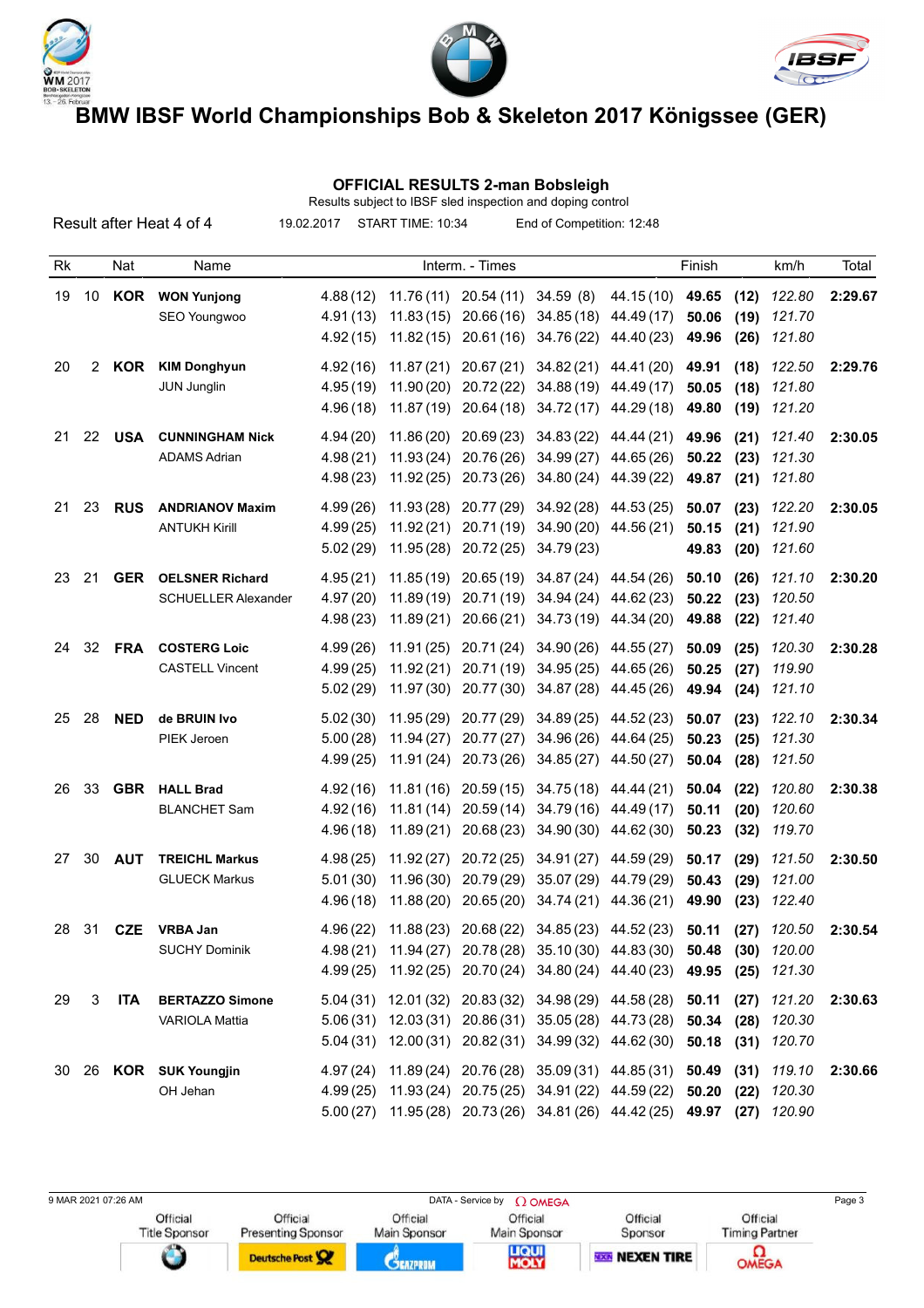





### **OFFICIAL RESULTS 2-man Bobsleigh** Results subject to IBSF sled inspection and doping control

|    |    |            | Result after Heat 4 of 4                             | 19.02.2017                        | START TIME: 10:34                                                                                                               |                                                 | End of Competition: 12:48        |                                                                                                                                               |                         |                      |                                          |         |
|----|----|------------|------------------------------------------------------|-----------------------------------|---------------------------------------------------------------------------------------------------------------------------------|-------------------------------------------------|----------------------------------|-----------------------------------------------------------------------------------------------------------------------------------------------|-------------------------|----------------------|------------------------------------------|---------|
| Rk |    | Nat        | Name                                                 |                                   |                                                                                                                                 | Interm. - Times                                 |                                  |                                                                                                                                               | Finish                  |                      | km/h                                     | Total   |
| 19 |    |            | 10 KOR WON Yunjong<br>SEO Youngwoo                   | 4.88 (12)<br>4.91(13)<br>4.92(15) |                                                                                                                                 |                                                 | $11.76(11)$ 20.54 (11) 34.59 (8) | 44.15 (10) 49.65<br>11.83 (15) 20.66 (16) 34.85 (18) 44.49 (17)<br>11.82 (15) 20.61 (16) 34.76 (22) 44.40 (23)                                | 50.06<br>49.96          | (12)<br>(19)<br>(26) | 122.80<br>121.70<br>121.80               | 2:29.67 |
| 20 | 2  | KOR        | <b>KIM Donghyun</b><br><b>JUN Junglin</b>            | 4.92(16)<br>4.95(19)<br>4.96(18)  |                                                                                                                                 |                                                 |                                  | 11.87 (21) 20.67 (21) 34.82 (21) 44.41 (20)<br>11.90 (20) 20.72 (22) 34.88 (19) 44.49 (17)<br>11.87 (19) 20.64 (18) 34.72 (17) 44.29 (18)     | 49.91<br>50.05<br>49.80 | (18)<br>(18)<br>(19) | 122.50<br>121.80<br>121.20               | 2:29.76 |
| 21 | 22 | <b>USA</b> | <b>CUNNINGHAM Nick</b><br><b>ADAMS Adrian</b>        | 4.94(20)<br>4.98(21)<br>4.98(23)  |                                                                                                                                 | $11.86(20)$ 20.69(23)                           |                                  | 34.83 (22) 44.44 (21)<br>11.93 (24) 20.76 (26) 34.99 (27) 44.65 (26)<br>11.92 (25) 20.73 (26) 34.80 (24) 44.39 (22)                           | 49.96<br>50.22<br>49.87 | (21)<br>(23)<br>(21) | 121.40<br>121.30<br>121.80               | 2:30.05 |
| 21 | 23 | <b>RUS</b> | <b>ANDRIANOV Maxim</b><br><b>ANTUKH Kirill</b>       | 4.99(26)<br>4.99(25)<br>5.02(29)  |                                                                                                                                 | 11.93 (28) 20.77 (29)<br>11.95 (28) 20.72 (25)  | 34.79 (23)                       | 34.92 (28) 44.53 (25)<br>11.92 (21) 20.71 (19) 34.90 (20) 44.56 (21)                                                                          | 50.07<br>50.15<br>49.83 | (23)<br>(21)<br>(20) | 122.20<br>121.90<br>121.60               | 2:30.05 |
| 23 | 21 | <b>GER</b> | <b>OELSNER Richard</b><br><b>SCHUELLER Alexander</b> | 4.95(21)<br>4.97(20)<br>4.98(23)  |                                                                                                                                 |                                                 |                                  | $11.85(19)$ $20.65(19)$ $34.87(24)$ $44.54(26)$<br>11.89 (19) 20.71 (19) 34.94 (24) 44.62 (23)<br>11.89 (21) 20.66 (21) 34.73 (19) 44.34 (20) | 50.10<br>50.22<br>49.88 | (26)<br>(23)<br>(22) | 121.10<br>120.50<br>121.40               | 2:30.20 |
| 24 | 32 | <b>FRA</b> | <b>COSTERG Loic</b><br><b>CASTELL Vincent</b>        | 4.99(26)<br>4.99(25)<br>5.02(29)  |                                                                                                                                 |                                                 |                                  | 11.91 (25) 20.71 (24) 34.90 (26) 44.55 (27)<br>11.92 (21) 20.71 (19) 34.95 (25) 44.65 (26)<br>11.97 (30) 20.77 (30) 34.87 (28) 44.45 (26)     | 50.09<br>50.25<br>49.94 | (25)<br>(27)<br>(24) | 120.30<br>119.90<br>121.10               | 2:30.28 |
| 25 | 28 | <b>NED</b> | de BRUIN Ivo<br>PIEK Jeroen                          | 5.02(30)<br>5.00(28)<br>4.99(25)  |                                                                                                                                 |                                                 | 11.91 (24) 20.73 (26) 34.85 (27) | 11.95 (29) 20.77 (29) 34.89 (25) 44.52 (23)<br>11.94 (27) 20.77 (27) 34.96 (26) 44.64 (25)<br>44.50 (27)                                      | 50.07<br>50.23<br>50.04 | (23)<br>(25)<br>(28) | 122.10<br>121.30<br>121.50               | 2:30.34 |
| 26 | 33 | <b>GBR</b> | <b>HALL Brad</b><br><b>BLANCHET Sam</b>              | 4.92(16)<br>4.92(16)<br>4.96(18)  | 11.81 (16)<br>11.89 (21)                                                                                                        | 20.59(15)<br>$11.81(14)$ 20.59(14)<br>20.68(23) |                                  | 34.75 (18) 44.44 (21)<br>34.79 (16) 44.49 (17)<br>34.90 (30) 44.62 (30)                                                                       | 50.04<br>50.11<br>50.23 | (22)<br>(20)<br>(32) | 120.80<br>120.60<br>119.70               | 2:30.38 |
| 27 | 30 | <b>AUT</b> | <b>TREICHL Markus</b><br><b>GLUECK Markus</b>        | 4.98(25)<br>5.01(30)<br>4.96(18)  | 11.96 (30)                                                                                                                      |                                                 | 20.79 (29) 35.07 (29)            | $11.92(27)$ 20.72(25) 34.91(27) 44.59(29)<br>44.79 (29)<br>11.88 (20) 20.65 (20) 34.74 (21) 44.36 (21)                                        | 50.17<br>50.43<br>49.90 | (29)<br>(29)<br>(23) | 121.50<br>121.00<br>122.40               | 2:30.50 |
| 28 | 31 | <b>CZE</b> | <b>VRBA Jan</b><br><b>SUCHY Dominik</b>              | 4.99(25)                          | 4.96 (22) 11.88 (23) 20.68 (22) 34.85 (23) 44.52 (23) 50.11<br>4.98 (21) 11.94 (27) 20.78 (28) 35.10 (30) 44.83 (30) 50.48      |                                                 |                                  | 11.92 (25) 20.70 (24) 34.80 (24) 44.40 (23) 49.95 (25) 121.30                                                                                 |                         | (30)                 | $(27)$ 120.50<br>120.00                  | 2:30.54 |
| 29 | 3  | <b>ITA</b> | <b>BERTAZZO Simone</b><br><b>VARIOLA Mattia</b>      | 5.04(31)                          | 5.04 (31) 12.01 (32) 20.83 (32) 34.98 (29) 44.58 (28) 50.11<br>5.06 (31) 12.03 (31) 20.86 (31) 35.05 (28) 44.73 (28) 50.34      |                                                 |                                  | 12.00 (31) 20.82 (31) 34.99 (32) 44.62 (30) 50.18                                                                                             |                         | (28)                 | $(27)$ 121.20<br>120.30<br>$(31)$ 120.70 | 2:30.63 |
|    |    |            | 30 26 KOR SUK Youngjin<br>OH Jehan                   | 5.00(27)                          | 4.97 (24) 11.89 (24) 20.76 (28) 35.09 (31) 44.85 (31) 50.49<br>4.99 (25) 11.93 (24) 20.75 (25) 34.91 (22) 44.59 (22) 50.20 (22) |                                                 |                                  | 11.95 (28) 20.73 (26) 34.81 (26) 44.42 (25) 49.97 (27) 120.90                                                                                 |                         | (31)                 | 119.10<br>120.30                         | 2:30.66 |

9 MAR 2021 07:26 AM Page 3 Official

Title Sponsor

Presenting Sponsor Deutsche Post

Official

Main Sponsor **CEAZPRON** 

Official

Official Main Sponsor

**LIQUI**<br>MOLY

Official Timing Partner

Official

Sponsor

**BEST NEXEN TIRE**